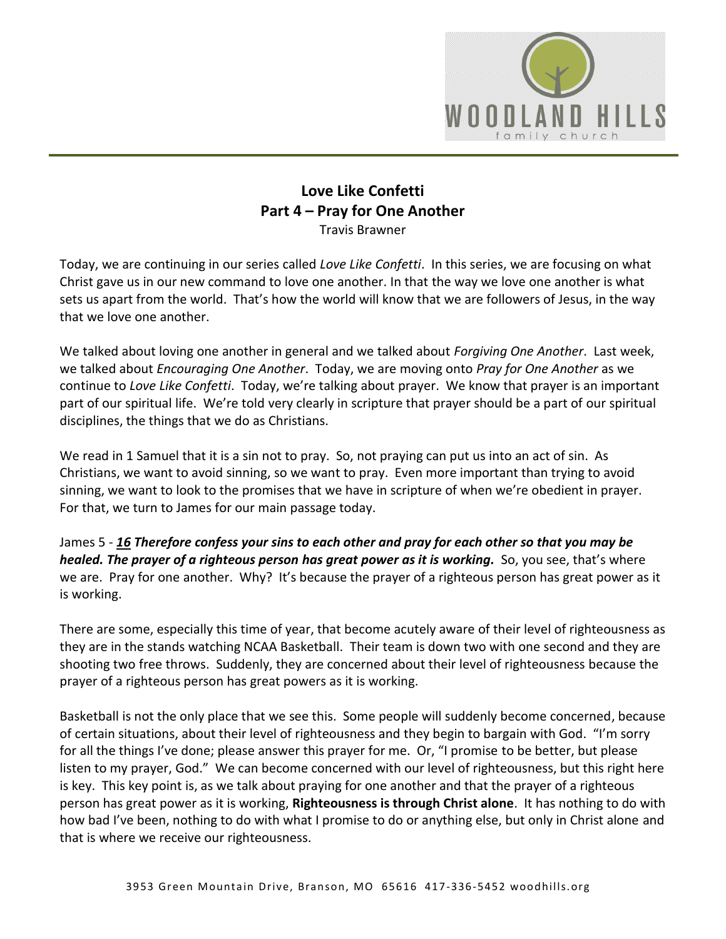

## **Love Like Confetti Part 4 – Pray for One Another**

Travis Brawner

Today, we are continuing in our series called *Love Like Confetti*. In this series, we are focusing on what Christ gave us in our new command to love one another. In that the way we love one another is what sets us apart from the world. That's how the world will know that we are followers of Jesus, in the way that we love one another.

We talked about loving one another in general and we talked about *Forgiving One Another*. Last week, we talked about *Encouraging One Another*. Today, we are moving onto *Pray for One Another* as we continue to *Love Like Confetti*. Today, we're talking about prayer. We know that prayer is an important part of our spiritual life. We're told very clearly in scripture that prayer should be a part of our spiritual disciplines, the things that we do as Christians.

We read in 1 Samuel that it is a sin not to pray. So, not praying can put us into an act of sin. As Christians, we want to avoid sinning, so we want to pray. Even more important than trying to avoid sinning, we want to look to the promises that we have in scripture of when we're obedient in prayer. For that, we turn to James for our main passage today.

James 5 - *[16](https://www.studylight.org/desk/?q=jas%205:16&t1=en_niv&sr=1) Therefore confess your sins to each other and pray for each other so that you may be healed. The prayer of a righteous person has great power as it is working.* So, you see, that's where we are. Pray for one another. Why? It's because the prayer of a righteous person has great power as it is working.

There are some, especially this time of year, that become acutely aware of their level of righteousness as they are in the stands watching NCAA Basketball. Their team is down two with one second and they are shooting two free throws. Suddenly, they are concerned about their level of righteousness because the prayer of a righteous person has great powers as it is working.

Basketball is not the only place that we see this. Some people will suddenly become concerned, because of certain situations, about their level of righteousness and they begin to bargain with God. "I'm sorry for all the things I've done; please answer this prayer for me. Or, "I promise to be better, but please listen to my prayer, God." We can become concerned with our level of righteousness, but this right here is key. This key point is, as we talk about praying for one another and that the prayer of a righteous person has great power as it is working, **Righteousness is through Christ alone**. It has nothing to do with how bad I've been, nothing to do with what I promise to do or anything else, but only in Christ alone and that is where we receive our righteousness.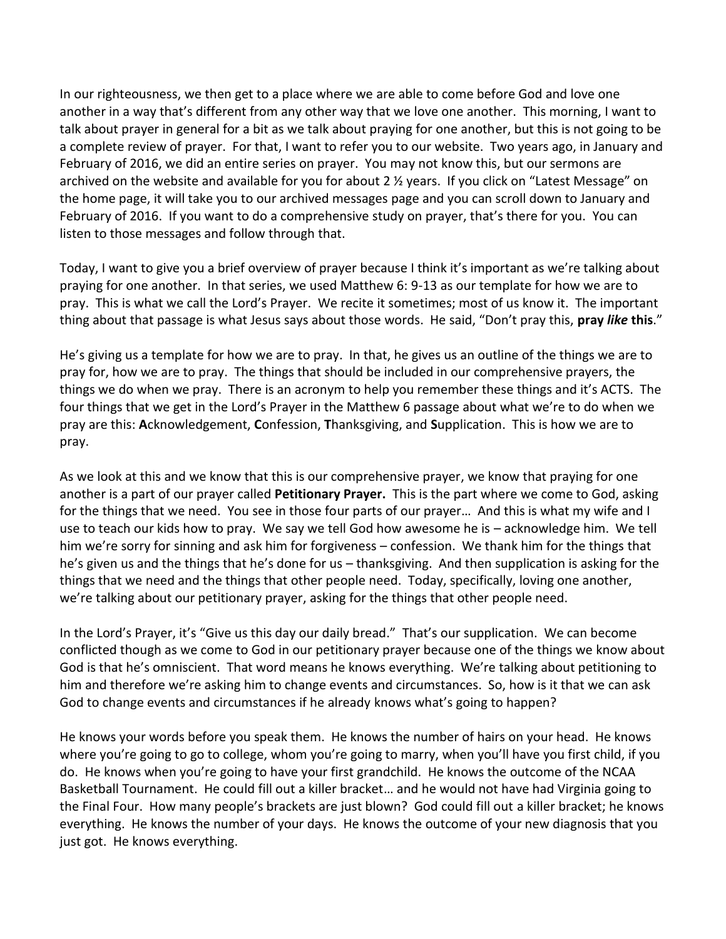In our righteousness, we then get to a place where we are able to come before God and love one another in a way that's different from any other way that we love one another. This morning, I want to talk about prayer in general for a bit as we talk about praying for one another, but this is not going to be a complete review of prayer. For that, I want to refer you to our website. Two years ago, in January and February of 2016, we did an entire series on prayer. You may not know this, but our sermons are archived on the website and available for you for about 2 ½ years. If you click on "Latest Message" on the home page, it will take you to our archived messages page and you can scroll down to January and February of 2016. If you want to do a comprehensive study on prayer, that's there for you. You can listen to those messages and follow through that.

Today, I want to give you a brief overview of prayer because I think it's important as we're talking about praying for one another. In that series, we used Matthew 6: 9-13 as our template for how we are to pray. This is what we call the Lord's Prayer. We recite it sometimes; most of us know it. The important thing about that passage is what Jesus says about those words. He said, "Don't pray this, **pray** *like* **this**."

He's giving us a template for how we are to pray. In that, he gives us an outline of the things we are to pray for, how we are to pray. The things that should be included in our comprehensive prayers, the things we do when we pray. There is an acronym to help you remember these things and it's ACTS. The four things that we get in the Lord's Prayer in the Matthew 6 passage about what we're to do when we pray are this: **A**cknowledgement, **C**onfession, **T**hanksgiving, and **S**upplication. This is how we are to pray.

As we look at this and we know that this is our comprehensive prayer, we know that praying for one another is a part of our prayer called **Petitionary Prayer.** This is the part where we come to God, asking for the things that we need. You see in those four parts of our prayer… And this is what my wife and I use to teach our kids how to pray. We say we tell God how awesome he is – acknowledge him. We tell him we're sorry for sinning and ask him for forgiveness – confession. We thank him for the things that he's given us and the things that he's done for us – thanksgiving. And then supplication is asking for the things that we need and the things that other people need. Today, specifically, loving one another, we're talking about our petitionary prayer, asking for the things that other people need.

In the Lord's Prayer, it's "Give us this day our daily bread." That's our supplication. We can become conflicted though as we come to God in our petitionary prayer because one of the things we know about God is that he's omniscient. That word means he knows everything. We're talking about petitioning to him and therefore we're asking him to change events and circumstances. So, how is it that we can ask God to change events and circumstances if he already knows what's going to happen?

He knows your words before you speak them. He knows the number of hairs on your head. He knows where you're going to go to college, whom you're going to marry, when you'll have you first child, if you do. He knows when you're going to have your first grandchild. He knows the outcome of the NCAA Basketball Tournament. He could fill out a killer bracket… and he would not have had Virginia going to the Final Four. How many people's brackets are just blown? God could fill out a killer bracket; he knows everything. He knows the number of your days. He knows the outcome of your new diagnosis that you just got. He knows everything.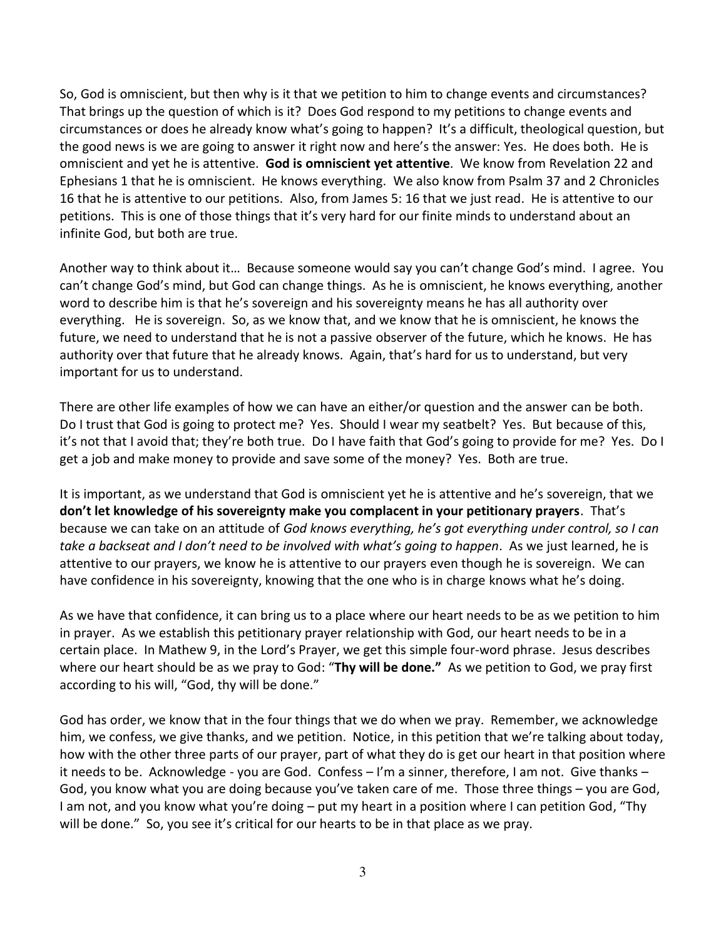So, God is omniscient, but then why is it that we petition to him to change events and circumstances? That brings up the question of which is it? Does God respond to my petitions to change events and circumstances or does he already know what's going to happen? It's a difficult, theological question, but the good news is we are going to answer it right now and here's the answer: Yes. He does both. He is omniscient and yet he is attentive. **God is omniscient yet attentive**. We know from Revelation 22 and Ephesians 1 that he is omniscient. He knows everything. We also know from Psalm 37 and 2 Chronicles 16 that he is attentive to our petitions. Also, from James 5: 16 that we just read. He is attentive to our petitions. This is one of those things that it's very hard for our finite minds to understand about an infinite God, but both are true.

Another way to think about it… Because someone would say you can't change God's mind. I agree. You can't change God's mind, but God can change things. As he is omniscient, he knows everything, another word to describe him is that he's sovereign and his sovereignty means he has all authority over everything. He is sovereign. So, as we know that, and we know that he is omniscient, he knows the future, we need to understand that he is not a passive observer of the future, which he knows. He has authority over that future that he already knows. Again, that's hard for us to understand, but very important for us to understand.

There are other life examples of how we can have an either/or question and the answer can be both. Do I trust that God is going to protect me? Yes. Should I wear my seatbelt? Yes. But because of this, it's not that I avoid that; they're both true. Do I have faith that God's going to provide for me? Yes. Do I get a job and make money to provide and save some of the money? Yes. Both are true.

It is important, as we understand that God is omniscient yet he is attentive and he's sovereign, that we **don't let knowledge of his sovereignty make you complacent in your petitionary prayers**.That's because we can take on an attitude of *God knows everything, he's got everything under control, so I can take a backseat and I don't need to be involved with what's going to happen*. As we just learned, he is attentive to our prayers, we know he is attentive to our prayers even though he is sovereign. We can have confidence in his sovereignty, knowing that the one who is in charge knows what he's doing.

As we have that confidence, it can bring us to a place where our heart needs to be as we petition to him in prayer. As we establish this petitionary prayer relationship with God, our heart needs to be in a certain place. In Mathew 9, in the Lord's Prayer, we get this simple four-word phrase. Jesus describes where our heart should be as we pray to God: "**Thy will be done."** As we petition to God, we pray first according to his will, "God, thy will be done."

God has order, we know that in the four things that we do when we pray. Remember, we acknowledge him, we confess, we give thanks, and we petition. Notice, in this petition that we're talking about today, how with the other three parts of our prayer, part of what they do is get our heart in that position where it needs to be. Acknowledge - you are God. Confess – I'm a sinner, therefore, I am not. Give thanks – God, you know what you are doing because you've taken care of me. Those three things – you are God, I am not, and you know what you're doing – put my heart in a position where I can petition God, "Thy will be done." So, you see it's critical for our hearts to be in that place as we pray.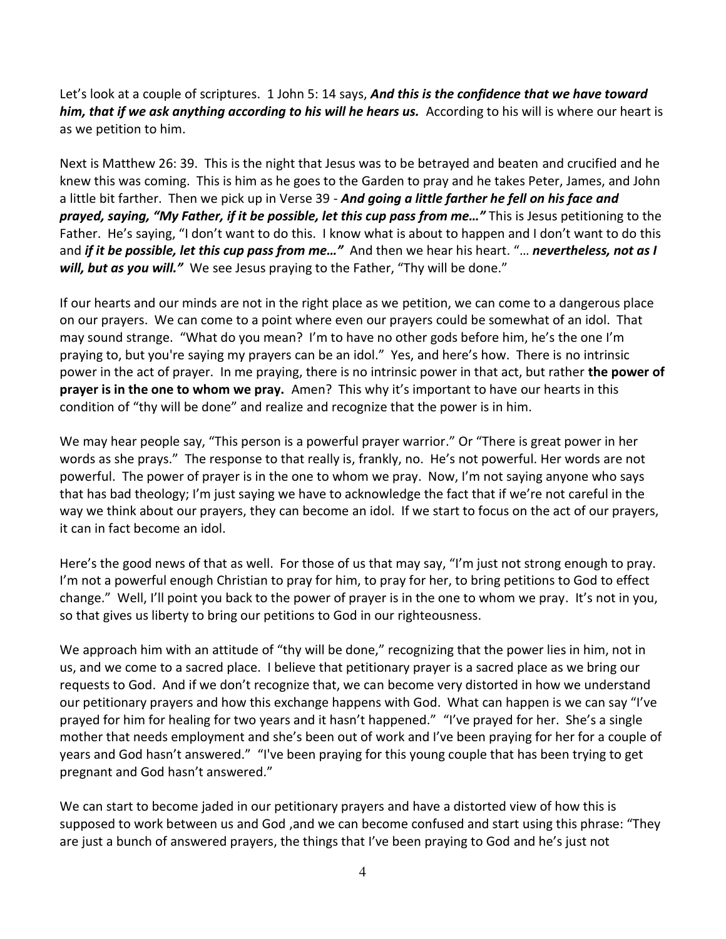Let's look at a couple of scriptures. 1 John 5: 14 says, *And this is the confidence that we have toward him, that if we ask anything according to his will he hears us.* According to his will is where our heart is as we petition to him.

Next is Matthew 26: 39. This is the night that Jesus was to be betrayed and beaten and crucified and he knew this was coming. This is him as he goes to the Garden to pray and he takes Peter, James, and John a little bit farther. Then we pick up in Verse 39 - *And going a little farther he fell on his face and prayed, saying, "My Father, if it be possible, let this cup pass from me…"* This is Jesus petitioning to the Father. He's saying, "I don't want to do this. I know what is about to happen and I don't want to do this and *if it be possible, let this cup pass from me…"* And then we hear his heart. "… *nevertheless, not as I will, but as you will."* We see Jesus praying to the Father, "Thy will be done."

If our hearts and our minds are not in the right place as we petition, we can come to a dangerous place on our prayers. We can come to a point where even our prayers could be somewhat of an idol. That may sound strange. "What do you mean? I'm to have no other gods before him, he's the one I'm praying to, but you're saying my prayers can be an idol." Yes, and here's how. There is no intrinsic power in the act of prayer. In me praying, there is no intrinsic power in that act, but rather **the power of prayer is in the one to whom we pray.** Amen? This why it's important to have our hearts in this condition of "thy will be done" and realize and recognize that the power is in him.

We may hear people say, "This person is a powerful prayer warrior." Or "There is great power in her words as she prays." The response to that really is, frankly, no. He's not powerful. Her words are not powerful. The power of prayer is in the one to whom we pray. Now, I'm not saying anyone who says that has bad theology; I'm just saying we have to acknowledge the fact that if we're not careful in the way we think about our prayers, they can become an idol. If we start to focus on the act of our prayers, it can in fact become an idol.

Here's the good news of that as well. For those of us that may say, "I'm just not strong enough to pray. I'm not a powerful enough Christian to pray for him, to pray for her, to bring petitions to God to effect change." Well, I'll point you back to the power of prayer is in the one to whom we pray. It's not in you, so that gives us liberty to bring our petitions to God in our righteousness.

We approach him with an attitude of "thy will be done," recognizing that the power lies in him, not in us, and we come to a sacred place. I believe that petitionary prayer is a sacred place as we bring our requests to God. And if we don't recognize that, we can become very distorted in how we understand our petitionary prayers and how this exchange happens with God. What can happen is we can say "I've prayed for him for healing for two years and it hasn't happened." "I've prayed for her. She's a single mother that needs employment and she's been out of work and I've been praying for her for a couple of years and God hasn't answered." "I've been praying for this young couple that has been trying to get pregnant and God hasn't answered."

We can start to become jaded in our petitionary prayers and have a distorted view of how this is supposed to work between us and God ,and we can become confused and start using this phrase: "They are just a bunch of answered prayers, the things that I've been praying to God and he's just not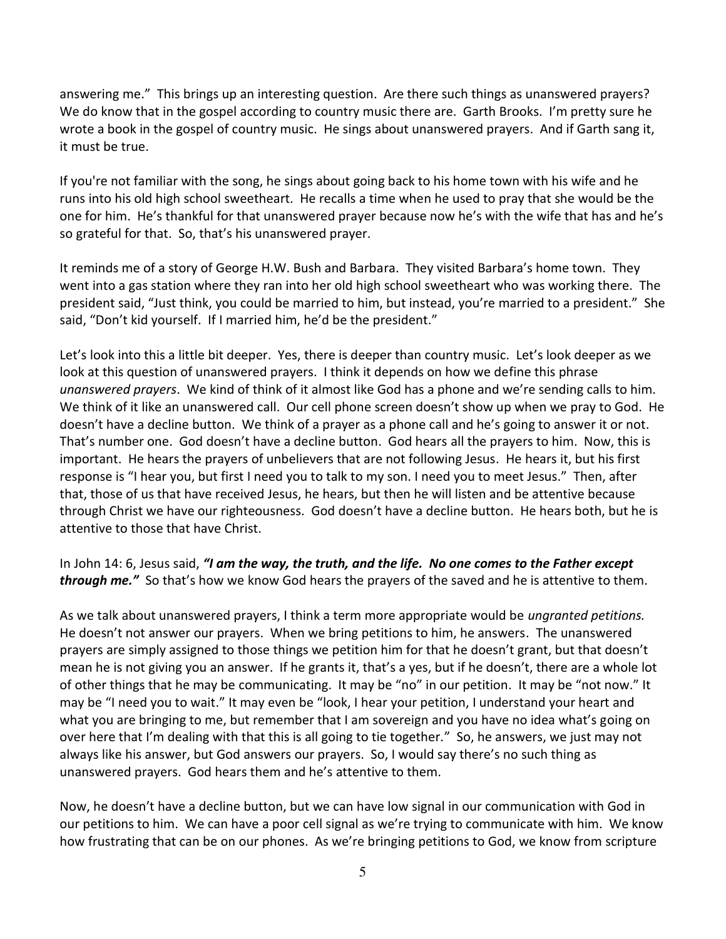answering me." This brings up an interesting question. Are there such things as unanswered prayers? We do know that in the gospel according to country music there are. Garth Brooks. I'm pretty sure he wrote a book in the gospel of country music. He sings about unanswered prayers. And if Garth sang it, it must be true.

If you're not familiar with the song, he sings about going back to his home town with his wife and he runs into his old high school sweetheart. He recalls a time when he used to pray that she would be the one for him. He's thankful for that unanswered prayer because now he's with the wife that has and he's so grateful for that. So, that's his unanswered prayer.

It reminds me of a story of George H.W. Bush and Barbara. They visited Barbara's home town. They went into a gas station where they ran into her old high school sweetheart who was working there. The president said, "Just think, you could be married to him, but instead, you're married to a president." She said, "Don't kid yourself. If I married him, he'd be the president."

Let's look into this a little bit deeper. Yes, there is deeper than country music. Let's look deeper as we look at this question of unanswered prayers. I think it depends on how we define this phrase *unanswered prayers*. We kind of think of it almost like God has a phone and we're sending calls to him. We think of it like an unanswered call. Our cell phone screen doesn't show up when we pray to God. He doesn't have a decline button. We think of a prayer as a phone call and he's going to answer it or not. That's number one. God doesn't have a decline button. God hears all the prayers to him. Now, this is important. He hears the prayers of unbelievers that are not following Jesus. He hears it, but his first response is "I hear you, but first I need you to talk to my son. I need you to meet Jesus." Then, after that, those of us that have received Jesus, he hears, but then he will listen and be attentive because through Christ we have our righteousness. God doesn't have a decline button. He hears both, but he is attentive to those that have Christ.

In John 14: 6, Jesus said, *"I am the way, the truth, and the life. No one comes to the Father except through me."* So that's how we know God hears the prayers of the saved and he is attentive to them.

As we talk about unanswered prayers, I think a term more appropriate would be *ungranted petitions.* He doesn't not answer our prayers. When we bring petitions to him, he answers. The unanswered prayers are simply assigned to those things we petition him for that he doesn't grant, but that doesn't mean he is not giving you an answer. If he grants it, that's a yes, but if he doesn't, there are a whole lot of other things that he may be communicating. It may be "no" in our petition. It may be "not now." It may be "I need you to wait." It may even be "look, I hear your petition, I understand your heart and what you are bringing to me, but remember that I am sovereign and you have no idea what's going on over here that I'm dealing with that this is all going to tie together." So, he answers, we just may not always like his answer, but God answers our prayers. So, I would say there's no such thing as unanswered prayers. God hears them and he's attentive to them.

Now, he doesn't have a decline button, but we can have low signal in our communication with God in our petitions to him. We can have a poor cell signal as we're trying to communicate with him. We know how frustrating that can be on our phones. As we're bringing petitions to God, we know from scripture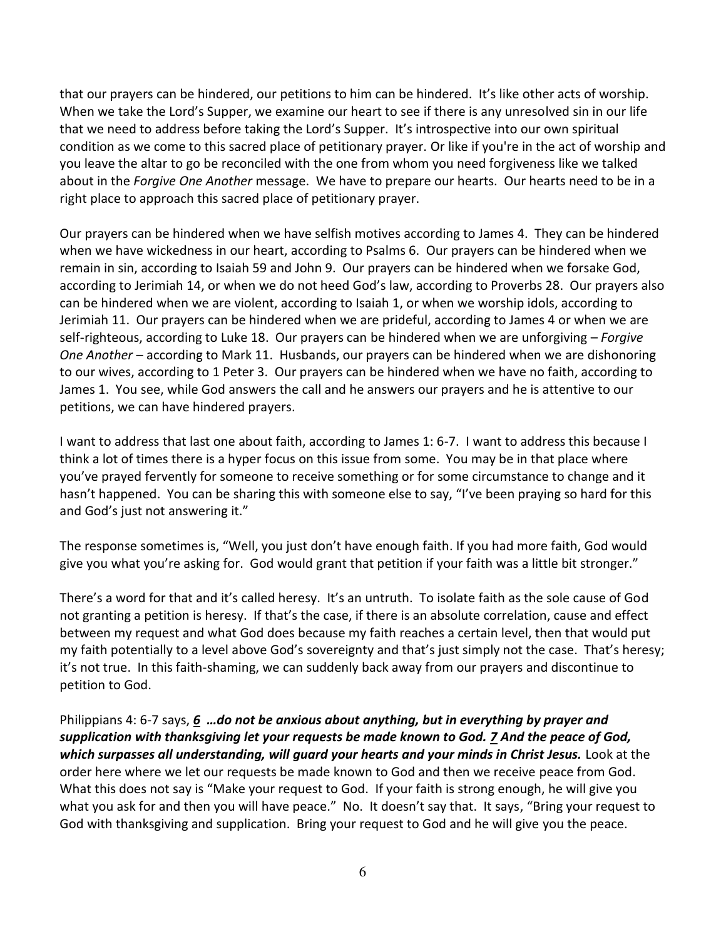that our prayers can be hindered, our petitions to him can be hindered. It's like other acts of worship. When we take the Lord's Supper, we examine our heart to see if there is any unresolved sin in our life that we need to address before taking the Lord's Supper. It's introspective into our own spiritual condition as we come to this sacred place of petitionary prayer. Or like if you're in the act of worship and you leave the altar to go be reconciled with the one from whom you need forgiveness like we talked about in the *Forgive One Another* message. We have to prepare our hearts. Our hearts need to be in a right place to approach this sacred place of petitionary prayer.

Our prayers can be hindered when we have selfish motives according to James 4. They can be hindered when we have wickedness in our heart, according to Psalms 6. Our prayers can be hindered when we remain in sin, according to Isaiah 59 and John 9. Our prayers can be hindered when we forsake God, according to Jerimiah 14, or when we do not heed God's law, according to Proverbs 28. Our prayers also can be hindered when we are violent, according to Isaiah 1, or when we worship idols, according to Jerimiah 11. Our prayers can be hindered when we are prideful, according to James 4 or when we are self-righteous, according to Luke 18. Our prayers can be hindered when we are unforgiving – *Forgive One Another* – according to Mark 11. Husbands, our prayers can be hindered when we are dishonoring to our wives, according to 1 Peter 3. Our prayers can be hindered when we have no faith, according to James 1. You see, while God answers the call and he answers our prayers and he is attentive to our petitions, we can have hindered prayers.

I want to address that last one about faith, according to James 1: 6-7. I want to address this because I think a lot of times there is a hyper focus on this issue from some. You may be in that place where you've prayed fervently for someone to receive something or for some circumstance to change and it hasn't happened. You can be sharing this with someone else to say, "I've been praying so hard for this and God's just not answering it."

The response sometimes is, "Well, you just don't have enough faith. If you had more faith, God would give you what you're asking for. God would grant that petition if your faith was a little bit stronger."

There's a word for that and it's called heresy. It's an untruth. To isolate faith as the sole cause of God not granting a petition is heresy. If that's the case, if there is an absolute correlation, cause and effect between my request and what God does because my faith reaches a certain level, then that would put my faith potentially to a level above God's sovereignty and that's just simply not the case. That's heresy; it's not true. In this faith-shaming, we can suddenly back away from our prayers and discontinue to petition to God.

Philippians 4: 6-7 says, *[6](https://www.studylight.org/desk/?q=php%204:6&t1=en_esv&sr=1) …do not be anxious about anything, but in everything by prayer and supplication with thanksgiving let your requests be made known to God. [7](https://www.studylight.org/desk/?q=php%204:7&t1=en_esv&sr=1) And the peace of God, which surpasses all understanding, will guard your hearts and your minds in Christ Jesus.* Look at the order here where we let our requests be made known to God and then we receive peace from God. What this does not say is "Make your request to God. If your faith is strong enough, he will give you what you ask for and then you will have peace." No. It doesn't say that. It says, "Bring your request to God with thanksgiving and supplication. Bring your request to God and he will give you the peace.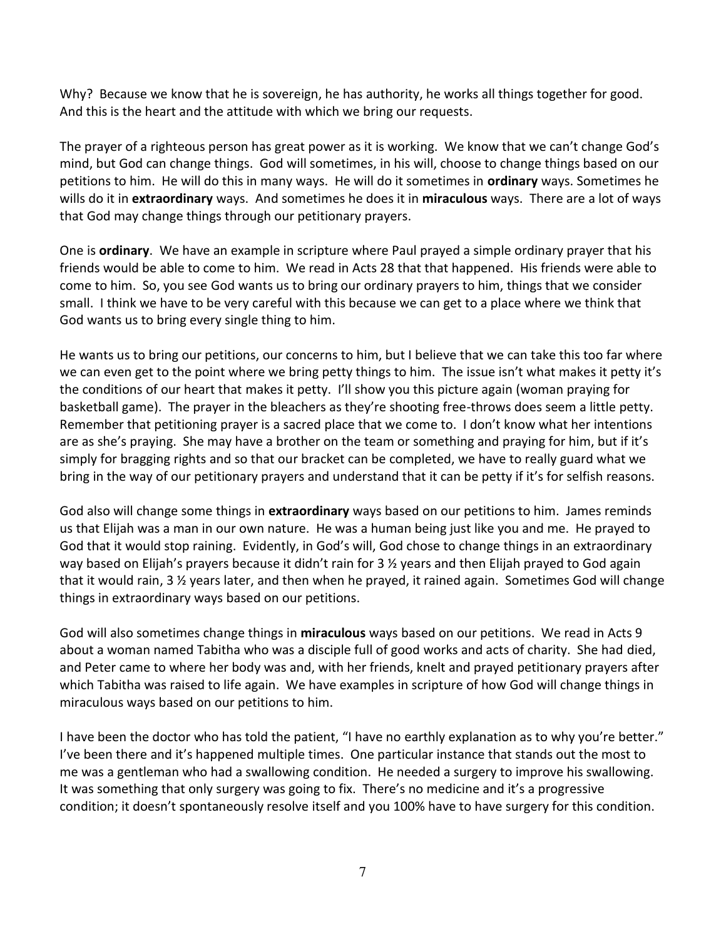Why? Because we know that he is sovereign, he has authority, he works all things together for good. And this is the heart and the attitude with which we bring our requests.

The prayer of a righteous person has great power as it is working. We know that we can't change God's mind, but God can change things. God will sometimes, in his will, choose to change things based on our petitions to him. He will do this in many ways. He will do it sometimes in **ordinary** ways. Sometimes he wills do it in **extraordinary** ways. And sometimes he does it in **miraculous** ways. There are a lot of ways that God may change things through our petitionary prayers.

One is **ordinary**. We have an example in scripture where Paul prayed a simple ordinary prayer that his friends would be able to come to him. We read in Acts 28 that that happened. His friends were able to come to him. So, you see God wants us to bring our ordinary prayers to him, things that we consider small. I think we have to be very careful with this because we can get to a place where we think that God wants us to bring every single thing to him.

He wants us to bring our petitions, our concerns to him, but I believe that we can take this too far where we can even get to the point where we bring petty things to him. The issue isn't what makes it petty it's the conditions of our heart that makes it petty. I'll show you this picture again (woman praying for basketball game). The prayer in the bleachers as they're shooting free-throws does seem a little petty. Remember that petitioning prayer is a sacred place that we come to. I don't know what her intentions are as she's praying. She may have a brother on the team or something and praying for him, but if it's simply for bragging rights and so that our bracket can be completed, we have to really guard what we bring in the way of our petitionary prayers and understand that it can be petty if it's for selfish reasons.

God also will change some things in **extraordinary** ways based on our petitions to him. James reminds us that Elijah was a man in our own nature. He was a human being just like you and me. He prayed to God that it would stop raining. Evidently, in God's will, God chose to change things in an extraordinary way based on Elijah's prayers because it didn't rain for 3  $\frac{1}{2}$  years and then Elijah prayed to God again that it would rain, 3 ½ years later, and then when he prayed, it rained again. Sometimes God will change things in extraordinary ways based on our petitions.

God will also sometimes change things in **miraculous** ways based on our petitions. We read in Acts 9 about a woman named Tabitha who was a disciple full of good works and acts of charity. She had died, and Peter came to where her body was and, with her friends, knelt and prayed petitionary prayers after which Tabitha was raised to life again. We have examples in scripture of how God will change things in miraculous ways based on our petitions to him.

I have been the doctor who has told the patient, "I have no earthly explanation as to why you're better." I've been there and it's happened multiple times. One particular instance that stands out the most to me was a gentleman who had a swallowing condition. He needed a surgery to improve his swallowing. It was something that only surgery was going to fix. There's no medicine and it's a progressive condition; it doesn't spontaneously resolve itself and you 100% have to have surgery for this condition.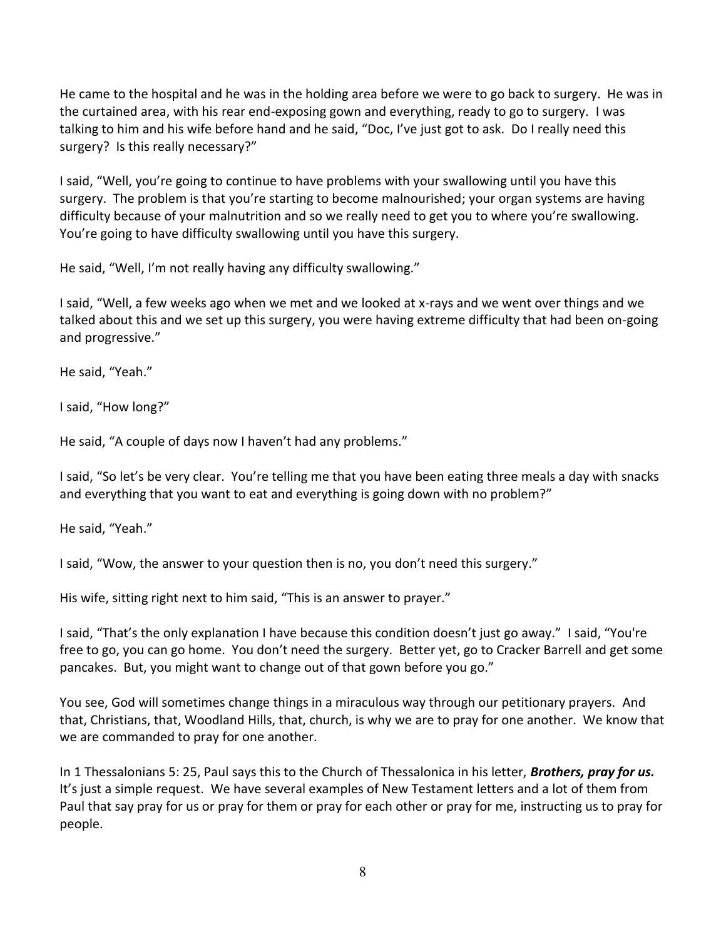He came to the hospital and he was in the holding area before we were to go back to surgery. He was in the curtained area, with his rear end-exposing gown and everything, ready to go to surgery. I was talking to him and his wife before hand and he said, "Doc, I've just got to ask. Do I really need this surgery? Is this really necessary?"

I said, "Well, you're going to continue to have problems with your swallowing until you have this surgery. The problem is that you're starting to become malnourished; your organ systems are having difficulty because of your malnutrition and so we really need to get you to where you're swallowing. You're going to have difficulty swallowing until you have this surgery.

He said, "Well, I'm not really having any difficulty swallowing."

I said, "Well, a few weeks ago when we met and we looked at x-rays and we went over things and we talked about this and we set up this surgery, you were having extreme difficulty that had been on-going and progressive."

He said, "Yeah."

I said, "How long?"

He said, "A couple of days now I haven't had any problems."

I said, "So let's be very clear. You're telling me that you have been eating three meals a day with snacks and everything that you want to eat and everything is going down with no problem?"

He said, "Yeah."

I said, "Wow, the answer to your question then is no, you don't need this surgery."

His wife, sitting right next to him said, "This is an answer to prayer."

I said, "That's the only explanation I have because this condition doesn't just go away." I said, "You're free to go, you can go home. You don't need the surgery. Better yet, go to Cracker Barrell and get some pancakes. But, you might want to change out of that gown before you go."

You see, God will sometimes change things in a miraculous way through our petitionary prayers. And that, Christians, that, Woodland Hills, that, church, is why we are to pray for one another. We know that we are commanded to pray for one another.

In 1 Thessalonians 5: 25, Paul says this to the Church of Thessalonica in his letter, *Brothers, pray for us.* It's just a simple request. We have several examples of New Testament letters and a lot of them from Paul that say pray for us or pray for them or pray for each other or pray for me, instructing us to pray for people.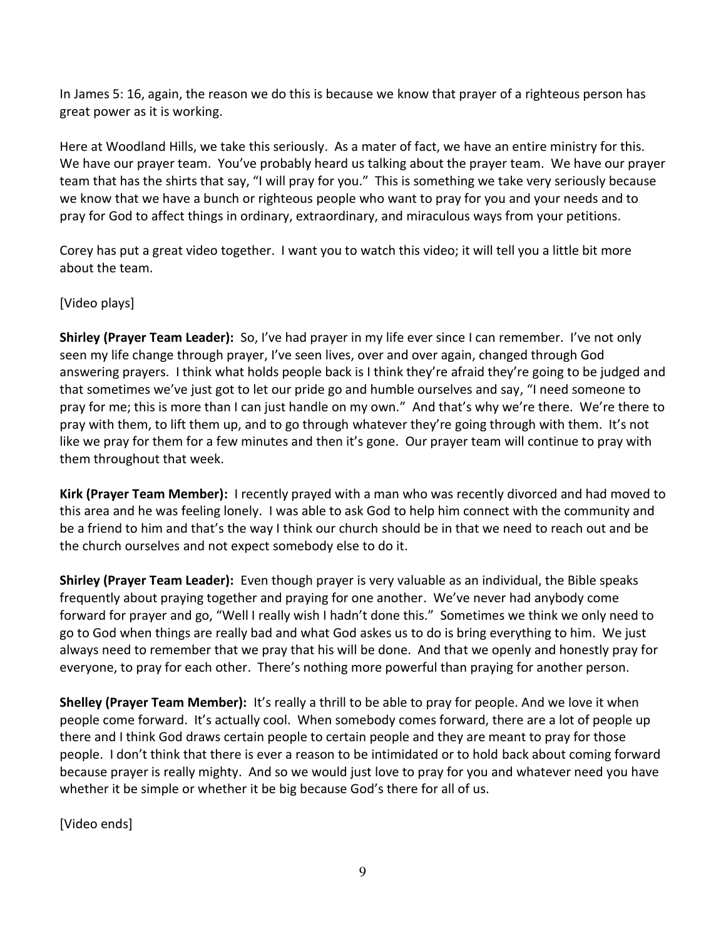In James 5: 16, again, the reason we do this is because we know that prayer of a righteous person has great power as it is working.

Here at Woodland Hills, we take this seriously. As a mater of fact, we have an entire ministry for this. We have our prayer team. You've probably heard us talking about the prayer team. We have our prayer team that has the shirts that say, "I will pray for you." This is something we take very seriously because we know that we have a bunch or righteous people who want to pray for you and your needs and to pray for God to affect things in ordinary, extraordinary, and miraculous ways from your petitions.

Corey has put a great video together. I want you to watch this video; it will tell you a little bit more about the team.

[Video plays]

**Shirley (Prayer Team Leader):** So, I've had prayer in my life ever since I can remember. I've not only seen my life change through prayer, I've seen lives, over and over again, changed through God answering prayers. I think what holds people back is I think they're afraid they're going to be judged and that sometimes we've just got to let our pride go and humble ourselves and say, "I need someone to pray for me; this is more than I can just handle on my own." And that's why we're there. We're there to pray with them, to lift them up, and to go through whatever they're going through with them. It's not like we pray for them for a few minutes and then it's gone. Our prayer team will continue to pray with them throughout that week.

**Kirk (Prayer Team Member):** I recently prayed with a man who was recently divorced and had moved to this area and he was feeling lonely. I was able to ask God to help him connect with the community and be a friend to him and that's the way I think our church should be in that we need to reach out and be the church ourselves and not expect somebody else to do it.

**Shirley (Prayer Team Leader):** Even though prayer is very valuable as an individual, the Bible speaks frequently about praying together and praying for one another. We've never had anybody come forward for prayer and go, "Well I really wish I hadn't done this." Sometimes we think we only need to go to God when things are really bad and what God askes us to do is bring everything to him. We just always need to remember that we pray that his will be done. And that we openly and honestly pray for everyone, to pray for each other. There's nothing more powerful than praying for another person.

**Shelley (Prayer Team Member):** It's really a thrill to be able to pray for people. And we love it when people come forward. It's actually cool. When somebody comes forward, there are a lot of people up there and I think God draws certain people to certain people and they are meant to pray for those people. I don't think that there is ever a reason to be intimidated or to hold back about coming forward because prayer is really mighty. And so we would just love to pray for you and whatever need you have whether it be simple or whether it be big because God's there for all of us.

[Video ends]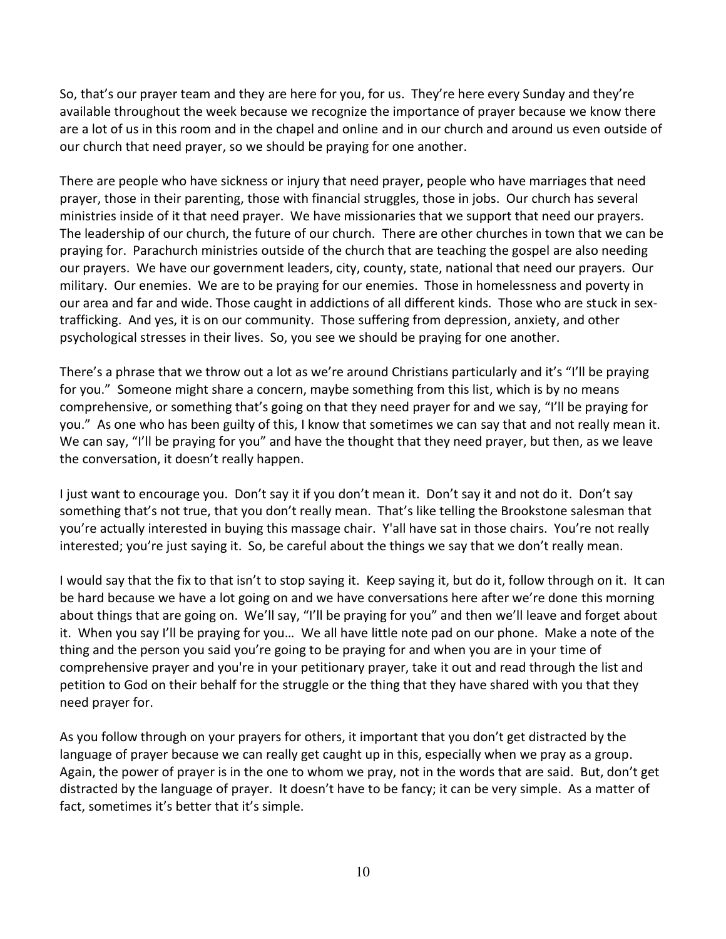So, that's our prayer team and they are here for you, for us. They're here every Sunday and they're available throughout the week because we recognize the importance of prayer because we know there are a lot of us in this room and in the chapel and online and in our church and around us even outside of our church that need prayer, so we should be praying for one another.

There are people who have sickness or injury that need prayer, people who have marriages that need prayer, those in their parenting, those with financial struggles, those in jobs. Our church has several ministries inside of it that need prayer. We have missionaries that we support that need our prayers. The leadership of our church, the future of our church. There are other churches in town that we can be praying for. Parachurch ministries outside of the church that are teaching the gospel are also needing our prayers. We have our government leaders, city, county, state, national that need our prayers. Our military. Our enemies. We are to be praying for our enemies. Those in homelessness and poverty in our area and far and wide. Those caught in addictions of all different kinds. Those who are stuck in sextrafficking. And yes, it is on our community. Those suffering from depression, anxiety, and other psychological stresses in their lives. So, you see we should be praying for one another.

There's a phrase that we throw out a lot as we're around Christians particularly and it's "I'll be praying for you." Someone might share a concern, maybe something from this list, which is by no means comprehensive, or something that's going on that they need prayer for and we say, "I'll be praying for you." As one who has been guilty of this, I know that sometimes we can say that and not really mean it. We can say, "I'll be praying for you" and have the thought that they need prayer, but then, as we leave the conversation, it doesn't really happen.

I just want to encourage you. Don't say it if you don't mean it. Don't say it and not do it. Don't say something that's not true, that you don't really mean. That's like telling the Brookstone salesman that you're actually interested in buying this massage chair. Y'all have sat in those chairs. You're not really interested; you're just saying it. So, be careful about the things we say that we don't really mean.

I would say that the fix to that isn't to stop saying it. Keep saying it, but do it, follow through on it. It can be hard because we have a lot going on and we have conversations here after we're done this morning about things that are going on. We'll say, "I'll be praying for you" and then we'll leave and forget about it. When you say I'll be praying for you… We all have little note pad on our phone. Make a note of the thing and the person you said you're going to be praying for and when you are in your time of comprehensive prayer and you're in your petitionary prayer, take it out and read through the list and petition to God on their behalf for the struggle or the thing that they have shared with you that they need prayer for.

As you follow through on your prayers for others, it important that you don't get distracted by the language of prayer because we can really get caught up in this, especially when we pray as a group. Again, the power of prayer is in the one to whom we pray, not in the words that are said. But, don't get distracted by the language of prayer. It doesn't have to be fancy; it can be very simple. As a matter of fact, sometimes it's better that it's simple.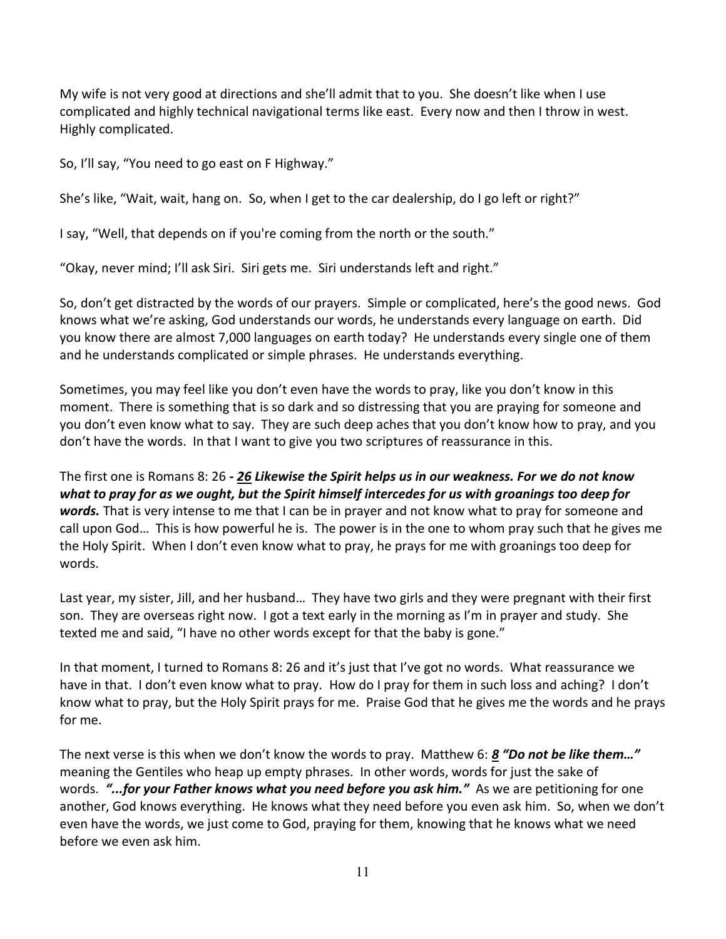My wife is not very good at directions and she'll admit that to you. She doesn't like when I use complicated and highly technical navigational terms like east. Every now and then I throw in west. Highly complicated.

So, I'll say, "You need to go east on F Highway."

She's like, "Wait, wait, hang on. So, when I get to the car dealership, do I go left or right?"

I say, "Well, that depends on if you're coming from the north or the south."

"Okay, never mind; I'll ask Siri. Siri gets me. Siri understands left and right."

So, don't get distracted by the words of our prayers. Simple or complicated, here's the good news. God knows what we're asking, God understands our words, he understands every language on earth. Did you know there are almost 7,000 languages on earth today? He understands every single one of them and he understands complicated or simple phrases. He understands everything.

Sometimes, you may feel like you don't even have the words to pray, like you don't know in this moment. There is something that is so dark and so distressing that you are praying for someone and you don't even know what to say. They are such deep aches that you don't know how to pray, and you don't have the words. In that I want to give you two scriptures of reassurance in this.

The first one is Romans 8: 26 *- [26](https://www.studylight.org/desk/?q=ro%208:26&t1=en_esv&sr=1) Likewise the Spirit helps us in our weakness. For we do not know what to pray for as we ought, but the Spirit himself intercedes for us with groanings too deep for words.* That is very intense to me that I can be in prayer and not know what to pray for someone and call upon God… This is how powerful he is. The power is in the one to whom pray such that he gives me the Holy Spirit. When I don't even know what to pray, he prays for me with groanings too deep for words.

Last year, my sister, Jill, and her husband… They have two girls and they were pregnant with their first son. They are overseas right now. I got a text early in the morning as I'm in prayer and study. She texted me and said, "I have no other words except for that the baby is gone."

In that moment, I turned to Romans 8: 26 and it's just that I've got no words. What reassurance we have in that. I don't even know what to pray. How do I pray for them in such loss and aching? I don't know what to pray, but the Holy Spirit prays for me. Praise God that he gives me the words and he prays for me.

The next verse is this when we don't know the words to pray. Matthew 6: *[8](https://www.studylight.org/desk/?q=mt%206:8&t1=en_esv&sr=1) "Do not be like them…"* meaning the Gentiles who heap up empty phrases. In other words, words for just the sake of words. *"...for your Father knows what you need before you ask him."* As we are petitioning for one another, God knows everything. He knows what they need before you even ask him. So, when we don't even have the words, we just come to God, praying for them, knowing that he knows what we need before we even ask him.